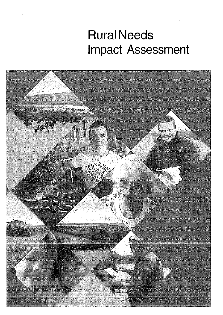# Rural Needs Impact Assessment

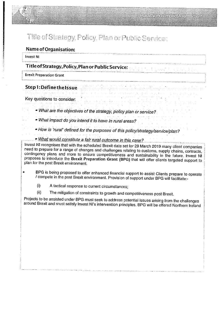# Title of Strategy, Policy, Plan or Public Service:

#### Name of Organisation:

#### **Invest NI**

# Title ofStrategy, Policy, Plan or Public Service:

Brexit Preparation Grant

Step 1: Define the Issue

Key questions to consider:

What are the objectives of the strategy, policy <sup>p</sup>lan or service?

- What impact do you intend it to have in rural areas?
- How is 'rural' defined for the purposes of this policy/strategy/service/plan?
- What would constitute <sup>a</sup> fair rural outcome in this case?

Invest NI recognises that with the scheduled Brexit date set for 29 March 2019 many client companies need to prepare for <sup>a</sup> range of changes and challenges relating to customs, supply chains, contracts, contingency <sup>p</sup>lans and more to ensure competitiveness and sustainabiilty in the future. Invest NI proposes to introduce the Brexit Preparation Grant (BPG) that will offer clients targeted support to <sup>p</sup>lan for the post Brexit environment.

- BPS is being proposed to offer enhanced financial support to assist Clients prepare to operate / compete in the post Brexit environment. Provision of support under BPG will facilitate:-
	- (i) A tactical response to current circumstances;
	- (ii) The mitigation of constraints to growth and competitiveness post Brexit.

Projects to be assisted under BPS must seek to address potential issues arising from the challenges around Brexit and must satisfy Invest NI's intervention principles. BPG will be offered Northern Ireland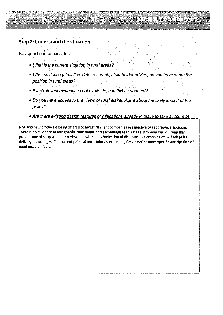

Key questions to consider

- What is the current situation in rural areas?
- . What evidence (statistics, data, research, stakeholder advice) do you have about the position in rural areas?
- If the relevant evidence is not available, can this be sourced?
- Do you have access to the views of rural stakeholders about the likely impact of the policy?
- Are there existing design features or mitigations already in place to take account of

N/A This new product is being offered to Invest NI client companies irrespective of geographical location, There is no evidence of any specific rural needs or disadvantage at this stage, however we will keep this programme of support under review and where any indication of disadvantage emerges we will adapt its delivery accordingly. The current political uncertainty surrounding Brexit makes more specific anticipation of need more difficult.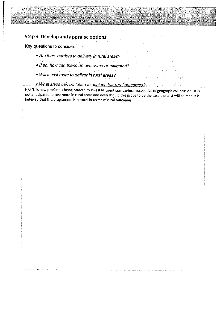## Step 3: Develop and appraise options

Key questions to consider:

- $\bullet$  Are there barriers to delivery in rural areas?
- If so, how can these be overcome or mitigated?
- Will it cost more to deliver in rural areas?
- . What steps can be taken to achieve fair rural outcomes?

N/A This new product is being offered to Invest NI client companies irrespective of geographical location. It is not anticipated to cost more in rural areas and even should this prove to be the case the cost will be met ft is believed that this programme is neutral in terms of rural outcomes.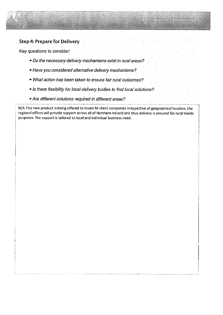# Step 4: Prepare for Delivery

Key questions to consider

- . Do the necessary delivery mechanisms exist in rural areas?
- Have you considered alternative delivery mechanisms?
- What action has been taken to ensure fair rural outcomes?
- Is there flexibility for local delivery bodies to find local solutions?
- Are different solutions required in different areas?

N/A This new product is being offered to Invest NI client companies irrespective of geographical location, the regional offices wiH provide support across alt of Northern Ireiand and thus delivery is ensured for rural needs purposes. The support is tailored to local and individual business need.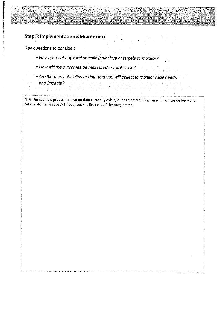# Step 5: Implementation & Monitoring

Key questions to consider

W

- Have you set any rural specific indicators or targets to monitor?
- How will the outcomes be measured In rural areas?
- Are there any statistics or data that you will collect to monitor rural needs and impacts?

N/A This is a new product and so no data currently exists, but as stated above, we will monitor delivery and take customer feedback throughout the life time of the programme.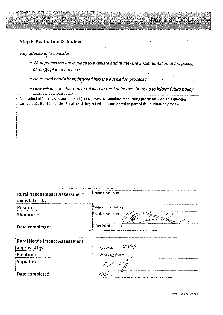

### Step 6: Evaluation & Review

Key questions to consider:

- ° What processes are in <sup>p</sup>lace to evaluate and review the implementation of the policy1 strategy, plan or service?
- Have rural needs been factored into the evaluation process?

 $\frac{1}{2}$  ,  $\frac{1}{2}$  ,  $\frac{1}{2}$  ,  $\frac{1}{2}$  ,  $\frac{1}{2}$  ,  $\frac{1}{2}$  ,  $\frac{1}{2}$  ,  $\frac{1}{2}$  ,  $\frac{1}{2}$  ,  $\frac{1}{2}$  ,  $\frac{1}{2}$  ,  $\frac{1}{2}$  ,  $\frac{1}{2}$  ,  $\frac{1}{2}$  ,  $\frac{1}{2}$  ,  $\frac{1}{2}$  ,  $\frac{1}{2}$  ,  $\frac{1}{2}$  ,  $\frac{1$ 

 $\cdot$   $\bullet$  How will lessons learned in relation to rural outcomes be used to inform future policy

All product offers of assistance are subject to Invest NI standard monitoring processes with an evaluation carried out after <sup>12</sup> months, Rural needs impact will be considered as part of this evaluation process.

| <b>Rural Needs Impact Assessment</b> | Frankie McCourt   |
|--------------------------------------|-------------------|
| undertaken by:                       |                   |
| Position:                            | Programme Manager |
| Signature:                           | Frankie McCourt   |
| Date completed:                      | 2 Oct 2018        |

| <b>Rural Needs Impact Assessment</b> |              |
|--------------------------------------|--------------|
| approved by:                         | NIAM ORES    |
| Position:                            | Dr Reception |
| Signature:                           |              |
| Date completed:                      |              |